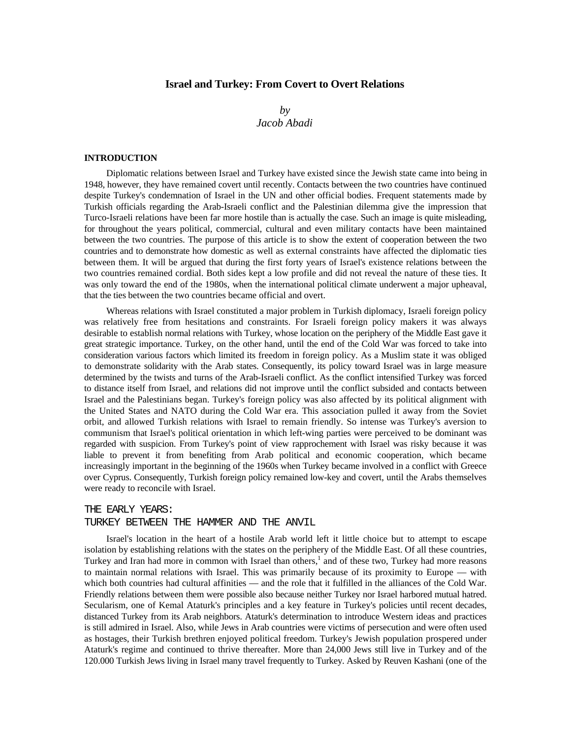## **Israel and Turkey: From Covert to Overt Relations**

# *by Jacob Abadi*

#### **INTRODUCTION**

Diplomatic relations between Israel and Turkey have existed since the Jewish state came into being in 1948, however, they have remained covert until recently. Contacts between the two countries have continued despite Turkey's condemnation of Israel in the UN and other official bodies. Frequent statements made by Turkish officials regarding the Arab-Israeli conflict and the Palestinian dilemma give the impression that Turco-Israeli relations have been far more hostile than is actually the case. Such an image is quite misleading, for throughout the years political, commercial, cultural and even military contacts have been maintained between the two countries. The purpose of this article is to show the extent of cooperation between the two countries and to demonstrate how domestic as well as external constraints have affected the diplomatic ties between them. It will be argued that during the first forty years of Israel's existence relations between the two countries remained cordial. Both sides kept a low profile and did not reveal the nature of these ties. It was only toward the end of the 1980s, when the international political climate underwent a major upheaval, that the ties between the two countries became official and overt.

Whereas relations with Israel constituted a major problem in Turkish diplomacy, Israeli foreign policy was relatively free from hesitations and constraints. For Israeli foreign policy makers it was always desirable to establish normal relations with Turkey, whose location on the periphery of the Middle East gave it great strategic importance. Turkey, on the other hand, until the end of the Cold War was forced to take into consideration various factors which limited its freedom in foreign policy. As a Muslim state it was obliged to demonstrate solidarity with the Arab states. Consequently, its policy toward Israel was in large measure determined by the twists and turns of the Arab-Israeli conflict. As the conflict intensified Turkey was forced to distance itself from Israel, and relations did not improve until the conflict subsided and contacts between Israel and the Palestinians began. Turkey's foreign policy was also affected by its political alignment with the United States and NATO during the Cold War era. This association pulled it away from the Soviet orbit, and allowed Turkish relations with Israel to remain friendly. So intense was Turkey's aversion to communism that Israel's political orientation in which left-wing parties were perceived to be dominant was regarded with suspicion. From Turkey's point of view rapprochement with Israel was risky because it was liable to prevent it from benefiting from Arab political and economic cooperation, which became increasingly important in the beginning of the 1960s when Turkey became involved in a conflict with Greece over Cyprus. Consequently, Turkish foreign policy remained low-key and covert, until the Arabs themselves were ready to reconcile with Israel.

#### THE EARLY YEARS:

#### TURKEY BETWEEN THE HAMMER AND THE ANVIL

Israel's location in the heart of a hostile Arab world left it little choice but to attempt to escape isolation by establishing relations with the states on the periphery of the Middle East. Of all these countries, Turkey and Iran had more in common with Israel than others,<sup>1</sup> and of these two, Turkey had more reasons to maintain normal relations with Israel. This was primarily because of its proximity to Europe — with which both countries had cultural affinities — and the role that it fulfilled in the alliances of the Cold War. Friendly relations between them were possible also because neither Turkey nor Israel harbored mutual hatred. Secularism, one of Kemal Ataturk's principles and a key feature in Turkey's policies until recent decades, distanced Turkey from its Arab neighbors. Ataturk's determination to introduce Western ideas and practices is still admired in Israel. Also, while Jews in Arab countries were victims of persecution and were often used as hostages, their Turkish brethren enjoyed political freedom. Turkey's Jewish population prospered under Ataturk's regime and continued to thrive thereafter. More than 24,000 Jews still live in Turkey and of the 120.000 Turkish Jews living in Israel many travel frequently to Turkey. Asked by Reuven Kashani (one of the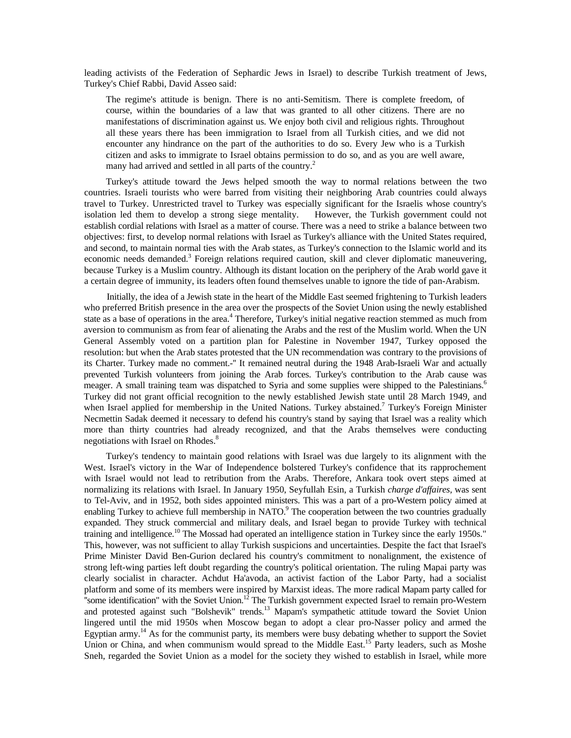leading activists of the Federation of Sephardic Jews in Israel) to describe Turkish treatment of Jews, Turkey's Chief Rabbi, David Asseo said:

The regime's attitude is benign. There is no anti-Semitism. There is complete freedom, of course, within the boundaries of a law that was granted to all other citizens. There are no manifestations of discrimination against us. We enjoy both civil and religious rights. Throughout all these years there has been immigration to Israel from all Turkish cities, and we did not encounter any hindrance on the part of the authorities to do so. Every Jew who is a Turkish citizen and asks to immigrate to Israel obtains permission to do so, and as you are well aware, many had arrived and settled in all parts of the country.<sup>2</sup>

Turkey's attitude toward the Jews helped smooth the way to normal relations between the two countries. Israeli tourists who were barred from visiting their neighboring Arab countries could always travel to Turkey. Unrestricted travel to Turkey was especially significant for the Israelis whose country's isolation led them to develop a strong siege mentality. However, the Turkish government could not establish cordial relations with Israel as a matter of course. There was a need to strike a balance between two objectives: first, to develop normal relations with Israel as Turkey's alliance with the United States required, and second, to maintain normal ties with the Arab states, as Turkey's connection to the Islamic world and its economic needs demanded.<sup>3</sup> Foreign relations required caution, skill and clever diplomatic maneuvering, because Turkey is a Muslim country. Although its distant location on the periphery of the Arab world gave it a certain degree of immunity, its leaders often found themselves unable to ignore the tide of pan-Arabism.

Initially, the idea of a Jewish state in the heart of the Middle East seemed frightening to Turkish leaders who preferred British presence in the area over the prospects of the Soviet Union using the newly established state as a base of operations in the area.<sup>4</sup> Therefore, Turkey's initial negative reaction stemmed as much from aversion to communism as from fear of alienating the Arabs and the rest of the Muslim world. When the UN General Assembly voted on a partition plan for Palestine in November 1947, Turkey opposed the resolution: but when the Arab states protested that the UN recommendation was contrary to the provisions of its Charter. Turkey made no comment.-'' It remained neutral during the 1948 Arab-Israeli War and actually prevented Turkish volunteers from joining the Arab forces. Turkey's contribution to the Arab cause was meager. A small training team was dispatched to Syria and some supplies were shipped to the Palestinians.<sup>6</sup> Turkey did not grant official recognition to the newly established Jewish state until 28 March 1949, and when Israel applied for membership in the United Nations. Turkey abstained.<sup>7</sup> Turkey's Foreign Minister Necmettin Sadak deemed it necessary to defend his country's stand by saying that Israel was a reality which more than thirty countries had already recognized, and that the Arabs themselves were conducting negotiations with Israel on Rhodes.<sup>8</sup>

Turkey's tendency to maintain good relations with Israel was due largely to its alignment with the West. Israel's victory in the War of Independence bolstered Turkey's confidence that its rapprochement with Israel would not lead to retribution from the Arabs. Therefore, Ankara took overt steps aimed at normalizing its relations with Israel. In January 1950, Seyfullah Esin, a Turkish *charge d'affaires,* was sent to Tel-Aviv, and in 1952, both sides appointed ministers. This was a part of a pro-Western policy aimed at enabling Turkey to achieve full membership in NATO.<sup>9</sup> The cooperation between the two countries gradually expanded. They struck commercial and military deals, and Israel began to provide Turkey with technical training and intelligence.<sup>10</sup> The Mossad had operated an intelligence station in Turkey since the early 1950s." This, however, was not sufficient to allay Turkish suspicions and uncertainties. Despite the fact that Israel's Prime Minister David Ben-Gurion declared his country's commitment to nonalignment, the existence of strong left-wing parties left doubt regarding the country's political orientation. The ruling Mapai party was clearly socialist in character. Achdut Ha'avoda, an activist faction of the Labor Party, had a socialist platform and some of its members were inspired by Marxist ideas. The more radical Mapam party called for <sup>1</sup> some identification" with the Soviet Union.<sup>12</sup> The Turkish government expected Israel to remain pro-Western and protested against such "Bolshevik" trends.<sup>13</sup> Mapam's sympathetic attitude toward the Soviet Union lingered until the mid 1950s when Moscow began to adopt a clear pro-Nasser policy and armed the Egyptian army.<sup>14</sup> As for the communist party, its members were busy debating whether to support the Soviet Union or China, and when communism would spread to the Middle East.<sup>15</sup> Party leaders, such as Moshe Sneh, regarded the Soviet Union as a model for the society they wished to establish in Israel, while more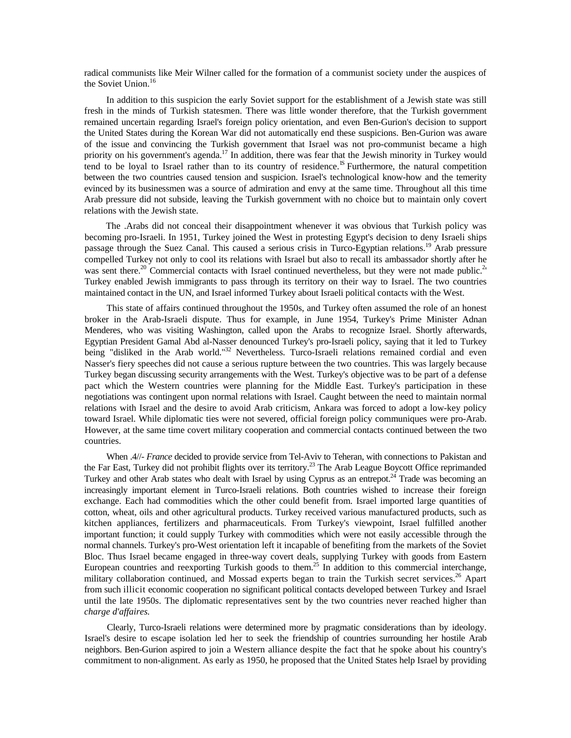radical communists like Meir Wilner called for the formation of a communist society under the auspices of the Soviet Union.<sup>16</sup>

In addition to this suspicion the early Soviet support for the establishment of a Jewish state was still fresh in the minds of Turkish statesmen. There was little wonder therefore, that the Turkish government remained uncertain regarding Israel's foreign policy orientation, and even Ben-Gurion's decision to support the United States during the Korean War did not automatically end these suspicions. Ben-Gurion was aware of the issue and convincing the Turkish government that Israel was not pro-communist became a high priority on his government's agenda.<sup>17</sup> In addition, there was fear that the Jewish minority in Turkey would tend to be loyal to Israel rather than to its country of residence.<sup>1S</sup> Furthermore, the natural competition between the two countries caused tension and suspicion. Israel's technological know-how and the temerity evinced by its businessmen was a source of admiration and envy at the same time. Throughout all this time Arab pressure did not subside, leaving the Turkish government with no choice but to maintain only covert relations with the Jewish state.

The .Arabs did not conceal their disappointment whenever it was obvious that Turkish policy was becoming pro-Israeli. In 1951, Turkey joined the West in protesting Egypt's decision to deny Israeli ships passage through the Suez Canal. This caused a serious crisis in Turco-Egyptian relations.<sup>19</sup> Arab pressure compelled Turkey not only to cool its relations with Israel but also to recall its ambassador shortly after he was sent there.<sup>20</sup> Commercial contacts with Israel continued nevertheless, but they were not made public.<sup>2</sup> Turkey enabled Jewish immigrants to pass through its territory on their way to Israel. The two countries maintained contact in the UN, and Israel informed Turkey about Israeli political contacts with the West.

This state of affairs continued throughout the 1950s, and Turkey often assumed the role of an honest broker in the Arab-Israeli dispute. Thus for example, in June 1954, Turkey's Prime Minister Adnan Menderes, who was visiting Washington, called upon the Arabs to recognize Israel. Shortly afterwards, Egyptian President Gamal Abd al-Nasser denounced Turkey's pro-Israeli policy, saying that it led to Turkey being "disliked in the Arab world."<sup>32</sup> Nevertheless. Turco-Israeli relations remained cordial and even Nasser's fiery speeches did not cause a serious rupture between the two countries. This was largely because Turkey began discussing security arrangements with the West. Turkey's objective was to be part of a defense pact which the Western countries were planning for the Middle East. Turkey's participation in these negotiations was contingent upon normal relations with Israel. Caught between the need to maintain normal relations with Israel and the desire to avoid Arab criticism, Ankara was forced to adopt a low-key policy toward Israel. While diplomatic ties were not severed, official foreign policy communiques were pro-Arab. However, at the same time covert military cooperation and commercial contacts continued between the two countries.

When .4//- *France* decided to provide service from Tel-Aviv to Teheran, with connections to Pakistan and the Far East, Turkey did not prohibit flights over its territory.<sup>23</sup> The Arab League Boycott Office reprimanded Turkey and other Arab states who dealt with Israel by using Cyprus as an entrepot.<sup>24</sup> Trade was becoming an increasingly important element in Turco-Israeli relations. Both countries wished to increase their foreign exchange. Each had commodities which the other could benefit from. Israel imported large quantities of cotton, wheat, oils and other agricultural products. Turkey received various manufactured products, such as kitchen appliances, fertilizers and pharmaceuticals. From Turkey's viewpoint, Israel fulfilled another important function; it could supply Turkey with commodities which were not easily accessible through the normal channels. Turkey's pro-West orientation left it incapable of benefiting from the markets of the Soviet Bloc. Thus Israel became engaged in three-way covert deals, supplying Turkey with goods from Eastern European countries and reexporting Turkish goods to them.<sup>25</sup> In addition to this commercial interchange, military collaboration continued, and Mossad experts began to train the Turkish secret services.<sup>26</sup> Apart from such illicit economic cooperation no significant political contacts developed between Turkey and Israel until the late 1950s. The diplomatic representatives sent by the two countries never reached higher than *charge d'affaires.*

Clearly, Turco-Israeli relations were determined more by pragmatic considerations than by ideology. Israel's desire to escape isolation led her to seek the friendship of countries surrounding her hostile Arab neighbors. Ben-Gurion aspired to join a Western alliance despite the fact that he spoke about his country's commitment to non-alignment. As early as 1950, he proposed that the United States help Israel by providing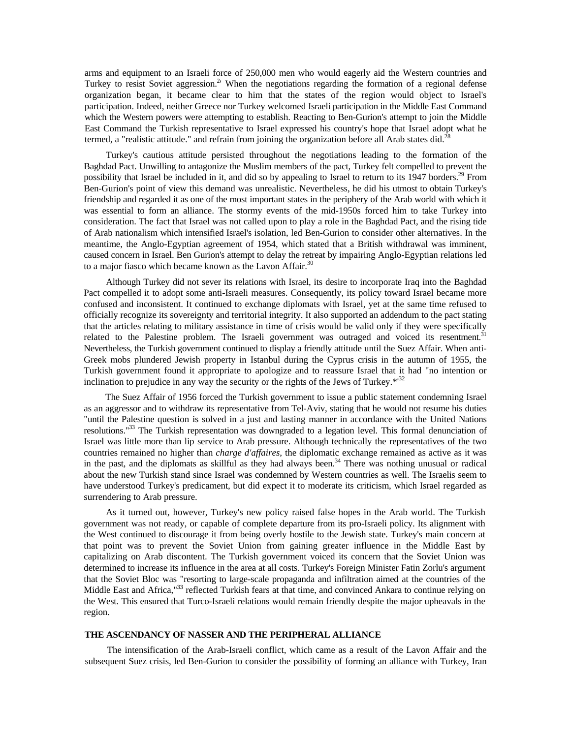arms and equipment to an Israeli force of 250,000 men who would eagerly aid the Western countries and Turkey to resist Soviet aggression.<sup>2</sup> When the negotiations regarding the formation of a regional defense organization began, it became clear to him that the states of the region would object to Israel's participation. Indeed, neither Greece nor Turkey welcomed Israeli participation in the Middle East Command which the Western powers were attempting to establish. Reacting to Ben-Gurion's attempt to join the Middle East Command the Turkish representative to Israel expressed his country's hope that Israel adopt what he termed, a "realistic attitude." and refrain from joining the organization before all Arab states did.<sup>28</sup>

Turkey's cautious attitude persisted throughout the negotiations leading to the formation of the Baghdad Pact. Unwilling to antagonize the Muslim members of the pact, Turkey felt compelled to prevent the possibility that Israel be included in it, and did so by appealing to Israel to return to its 1947 borders.29 From Ben-Gurion's point of view this demand was unrealistic. Nevertheless, he did his utmost to obtain Turkey's friendship and regarded it as one of the most important states in the periphery of the Arab world with which it was essential to form an alliance. The stormy events of the mid-1950s forced him to take Turkey into consideration. The fact that Israel was not called upon to play a role in the Baghdad Pact, and the rising tide of Arab nationalism which intensified Israel's isolation, led Ben-Gurion to consider other alternatives. In the meantime, the Anglo-Egyptian agreement of 1954, which stated that a British withdrawal was imminent, caused concern in Israel. Ben Gurion's attempt to delay the retreat by impairing Anglo-Egyptian relations led to a major fiasco which became known as the Lavon Affair.<sup>30</sup>

Although Turkey did not sever its relations with Israel, its desire to incorporate Iraq into the Baghdad Pact compelled it to adopt some anti-Israeli measures. Consequently, its policy toward Israel became more confused and inconsistent. It continued to exchange diplomats with Israel, yet at the same time refused to officially recognize its sovereignty and territorial integrity. It also supported an addendum to the pact stating that the articles relating to military assistance in time of crisis would be valid only if they were specifically related to the Palestine problem. The Israeli government was outraged and voiced its resentment.<sup>31</sup> Nevertheless, the Turkish government continued to display a friendly attitude until the Suez Affair. When anti-Greek mobs plundered Jewish property in Istanbul during the Cyprus crisis in the autumn of 1955, the Turkish government found it appropriate to apologize and to reassure Israel that it had "no intention or inclination to prejudice in any way the security or the rights of the Jews of Turkey. $*^{32}$ 

The Suez Affair of 1956 forced the Turkish government to issue a public statement condemning Israel as an aggressor and to withdraw its representative from Tel-Aviv, stating that he would not resume his duties "until the Palestine question is solved in a just and lasting manner in accordance with the United Nations resolutions."33 The Turkish representation was downgraded to a legation level. This formal denunciation of Israel was little more than lip service to Arab pressure. Although technically the representatives of the two countries remained no higher than *charge d'affaires,* the diplomatic exchange remained as active as it was in the past, and the diplomats as skillful as they had always been. $34$  There was nothing unusual or radical about the new Turkish stand since Israel was condemned by Western countries as well. The Israelis seem to have understood Turkey's predicament, but did expect it to moderate its criticism, which Israel regarded as surrendering to Arab pressure.

As it turned out, however, Turkey's new policy raised false hopes in the Arab world. The Turkish government was not ready, or capable of complete departure from its pro-Israeli policy. Its alignment with the West continued to discourage it from being overly hostile to the Jewish state. Turkey's main concern at that point was to prevent the Soviet Union from gaining greater influence in the Middle East by capitalizing on Arab discontent. The Turkish government voiced its concern that the Soviet Union was determined to increase its influence in the area at all costs. Turkey's Foreign Minister Fatin Zorlu's argument that the Soviet Bloc was "resorting to large-scale propaganda and infiltration aimed at the countries of the Middle East and Africa,"<sup>33</sup> reflected Turkish fears at that time, and convinced Ankara to continue relying on the West. This ensured that Turco-Israeli relations would remain friendly despite the major upheavals in the region.

#### **THE ASCENDANCY OF NASSER AND THE PERIPHERAL ALLIANCE**

The intensification of the Arab-Israeli conflict, which came as a result of the Lavon Affair and the subsequent Suez crisis, led Ben-Gurion to consider the possibility of forming an alliance with Turkey, Iran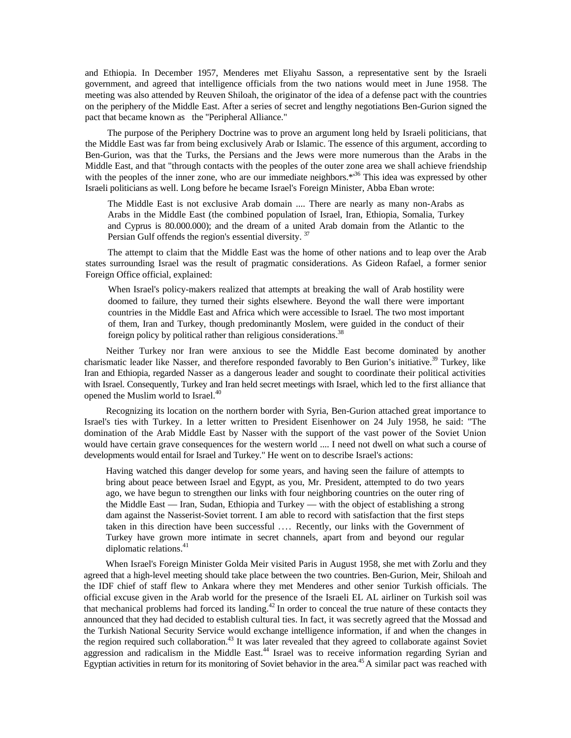and Ethiopia. In December 1957, Menderes met Eliyahu Sasson, a representative sent by the Israeli government, and agreed that intelligence officials from the two nations would meet in June 1958. The meeting was also attended by Reuven Shiloah, the originator of the idea of a defense pact with the countries on the periphery of the Middle East. After a series of secret and lengthy negotiations Ben-Gurion signed the pact that became known as the ''Peripheral Alliance."

The purpose of the Periphery Doctrine was to prove an argument long held by Israeli politicians, that the Middle East was far from being exclusively Arab or Islamic. The essence of this argument, according to Ben-Gurion, was that the Turks, the Persians and the Jews were more numerous than the Arabs in the Middle East, and that "through contacts with the peoples of the outer zone area we shall achieve friendship with the peoples of the inner zone, who are our immediate neighbors. $*^{36}$  This idea was expressed by other Israeli politicians as well. Long before he became Israel's Foreign Minister, Abba Eban wrote:

The Middle East is not exclusive Arab domain .... There are nearly as many non-Arabs as Arabs in the Middle East (the combined population of Israel, Iran, Ethiopia, Somalia, Turkey and Cyprus is 80.000.000); and the dream of a united Arab domain from the Atlantic to the Persian Gulf offends the region's essential diversity.<sup>37</sup>

The attempt to claim that the Middle East was the home of other nations and to leap over the Arab states surrounding Israel was the result of pragmatic considerations. As Gideon Rafael, a former senior Foreign Office official, explained:

When Israel's policy-makers realized that attempts at breaking the wall of Arab hostility were doomed to failure, they turned their sights elsewhere. Beyond the wall there were important countries in the Middle East and Africa which were accessible to Israel. The two most important of them, Iran and Turkey, though predominantly Moslem, were guided in the conduct of their foreign policy by political rather than religious considerations.<sup>38</sup>

Neither Turkey nor Iran were anxious to see the Middle East become dominated by another charismatic leader like Nasser, and therefore responded favorably to Ben Gurion's initiative.<sup>39</sup> Turkey, like Iran and Ethiopia, regarded Nasser as a dangerous leader and sought to coordinate their political activities with Israel. Consequently, Turkey and Iran held secret meetings with Israel, which led to the first alliance that opened the Muslim world to Israel.<sup>40</sup>

Recognizing its location on the northern border with Syria, Ben-Gurion attached great importance to Israel's ties with Turkey. In a letter written to President Eisenhower on 24 July 1958, he said: "The domination of the Arab Middle East by Nasser with the support of the vast power of the Soviet Union would have certain grave consequences for the western world .... I need not dwell on what such a course of developments would entail for Israel and Turkey." He went on to describe Israel's actions:

Having watched this danger develop for some years, and having seen the failure of attempts to bring about peace between Israel and Egypt, as you, Mr. President, attempted to do two years ago, we have begun to strengthen our links with four neighboring countries on the outer ring of the Middle East — Iran, Sudan, Ethiopia and Turkey — with the object of establishing a strong dam against the Nasserist-Soviet torrent. I am able to record with satisfaction that the first steps taken in this direction have been successful .... Recently, our links with the Government of Turkey have grown more intimate in secret channels, apart from and beyond our regular diplomatic relations. $41$ 

When Israel's Foreign Minister Golda Meir visited Paris in August 1958, she met with Zorlu and they agreed that a high-level meeting should take place between the two countries. Ben-Gurion, Meir, Shiloah and the IDF chief of staff flew to Ankara where they met Menderes and other senior Turkish officials. The official excuse given in the Arab world for the presence of the Israeli EL AL airliner on Turkish soil was that mechanical problems had forced its landing.<sup>42</sup> In order to conceal the true nature of these contacts they announced that they had decided to establish cultural ties. In fact, it was secretly agreed that the Mossad and the Turkish National Security Service would exchange intelligence information, if and when the changes in the region required such collaboration.<sup>43</sup> It was later revealed that they agreed to collaborate against Soviet aggression and radicalism in the Middle East.<sup>44</sup> Israel was to receive information regarding Syrian and Egyptian activities in return for its monitoring of Soviet behavior in the area.<sup>45</sup> A similar pact was reached with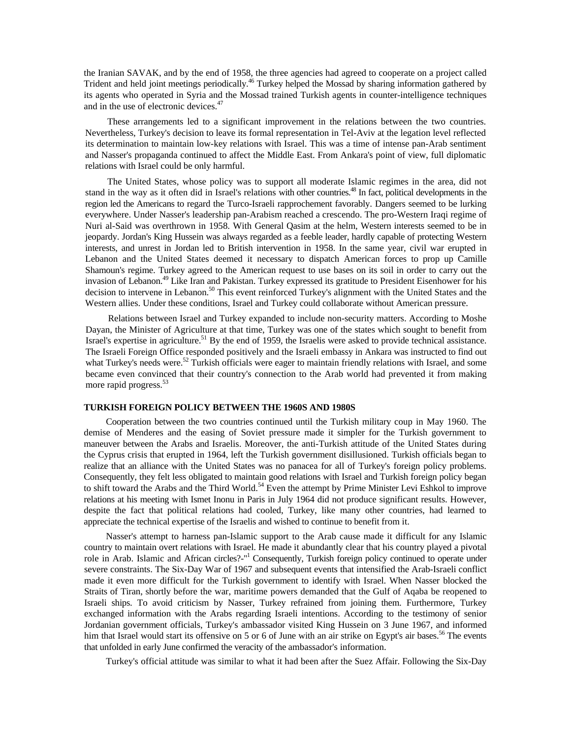the Iranian SAVAK, and by the end of 1958, the three agencies had agreed to cooperate on a project called Trident and held joint meetings periodically.<sup>46</sup> Turkey helped the Mossad by sharing information gathered by its agents who operated in Syria and the Mossad trained Turkish agents in counter-intelligence techniques and in the use of electronic devices.<sup>47</sup>

These arrangements led to a significant improvement in the relations between the two countries. Nevertheless, Turkey's decision to leave its formal representation in Tel-Aviv at the legation level reflected its determination to maintain low-key relations with Israel. This was a time of intense pan-Arab sentiment and Nasser's propaganda continued to affect the Middle East. From Ankara's point of view, full diplomatic relations with Israel could be only harmful.

The United States, whose policy was to support all moderate Islamic regimes in the area, did not stand in the way as it often did in Israel's relations with other countries.<sup>48</sup> In fact, political developments in the region led the Americans to regard the Turco-Israeli rapprochement favorably. Dangers seemed to be lurking everywhere. Under Nasser's leadership pan-Arabism reached a crescendo. The pro-Western Iraqi regime of Nuri al-Said was overthrown in 1958. With General Qasim at the helm, Western interests seemed to be in jeopardy. Jordan's King Hussein was always regarded as a feeble leader, hardly capable of protecting Western interests, and unrest in Jordan led to British intervention in 1958. In the same year, civil war erupted in Lebanon and the United States deemed it necessary to dispatch American forces to prop up Camille Shamoun's regime. Turkey agreed to the American request to use bases on its soil in order to carry out the invasion of Lebanon.<sup>49</sup> Like Iran and Pakistan. Turkey expressed its gratitude to President Eisenhower for his decision to intervene in Lebanon.<sup>50</sup> This event reinforced Turkey's alignment with the United States and the Western allies. Under these conditions, Israel and Turkey could collaborate without American pressure.

Relations between Israel and Turkey expanded to include non-security matters. According to Moshe Dayan, the Minister of Agriculture at that time, Turkey was one of the states which sought to benefit from Israel's expertise in agriculture.<sup>51</sup> By the end of 1959, the Israelis were asked to provide technical assistance. The Israeli Foreign Office responded positively and the Israeli embassy in Ankara was instructed to find out what Turkey's needs were.<sup>52</sup> Turkish officials were eager to maintain friendly relations with Israel, and some became even convinced that their country's connection to the Arab world had prevented it from making more rapid progress.<sup>53</sup>

#### **TURKISH FOREIGN POLICY BETWEEN THE 1960S AND 1980S**

Cooperation between the two countries continued until the Turkish military coup in May 1960. The demise of Menderes and the easing of Soviet pressure made it simpler for the Turkish government to maneuver between the Arabs and Israelis. Moreover, the anti-Turkish attitude of the United States during the Cyprus crisis that erupted in 1964, left the Turkish government disillusioned. Turkish officials began to realize that an alliance with the United States was no panacea for all of Turkey's foreign policy problems. Consequently, they felt less obligated to maintain good relations with Israel and Turkish foreign policy began to shift toward the Arabs and the Third World.<sup>54</sup> Even the attempt by Prime Minister Levi Eshkol to improve relations at his meeting with Ismet Inonu in Paris in July 1964 did not produce significant results. However, despite the fact that political relations had cooled, Turkey, like many other countries, had learned to appreciate the technical expertise of the Israelis and wished to continue to benefit from it.

Nasser's attempt to harness pan-Islamic support to the Arab cause made it difficult for any Islamic country to maintain overt relations with Israel. He made it abundantly clear that his country played a pivotal role in Arab. Islamic and African circles?-"<sup>1</sup> Consequently, Turkish foreign policy continued to operate under severe constraints. The Six-Day War of 1967 and subsequent events that intensified the Arab-Israeli conflict made it even more difficult for the Turkish government to identify with Israel. When Nasser blocked the Straits of Tiran, shortly before the war, maritime powers demanded that the Gulf of Aqaba be reopened to Israeli ships. To avoid criticism by Nasser, Turkey refrained from joining them. Furthermore, Turkey exchanged information with the Arabs regarding Israeli intentions. According to the testimony of senior Jordanian government officials, Turkey's ambassador visited King Hussein on 3 June 1967, and informed him that Israel would start its offensive on 5 or 6 of June with an air strike on Egypt's air bases.<sup>56</sup> The events that unfolded in early June confirmed the veracity of the ambassador's information.

Turkey's official attitude was similar to what it had been after the Suez Affair. Following the Six-Day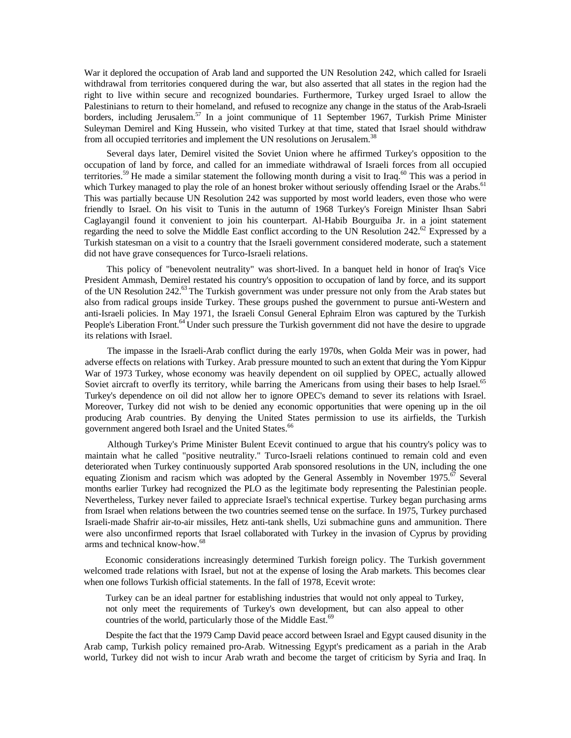War it deplored the occupation of Arab land and supported the UN Resolution 242, which called for Israeli withdrawal from territories conquered during the war, but also asserted that all states in the region had the right to live within secure and recognized boundaries. Furthermore, Turkey urged Israel to allow the Palestinians to return to their homeland, and refused to recognize any change in the status of the Arab-Israeli borders, including Jerusalem.<sup>57</sup> In a joint communique of 11 September 1967, Turkish Prime Minister Suleyman Demirel and King Hussein, who visited Turkey at that time, stated that Israel should withdraw from all occupied territories and implement the UN resolutions on Jerusalem.<sup>38</sup>

Several days later, Demirel visited the Soviet Union where he affirmed Turkey's opposition to the occupation of land by force, and called for an immediate withdrawal of Israeli forces from all occupied territories.<sup>59</sup> He made a similar statement the following month during a visit to Iraq.<sup>60</sup> This was a period in which Turkey managed to play the role of an honest broker without seriously offending Israel or the Arabs.<sup>61</sup> This was partially because UN Resolution 242 was supported by most world leaders, even those who were friendly to Israel. On his visit to Tunis in the autumn of 1968 Turkey's Foreign Minister Ihsan Sabri Caglayangil found it convenient to join his counterpart. Al-Habib Bourguiba Jr. in a joint statement regarding the need to solve the Middle East conflict according to the UN Resolution 242.<sup>62</sup> Expressed by a Turkish statesman on a visit to a country that the Israeli government considered moderate, such a statement did not have grave consequences for Turco-Israeli relations.

This policy of "benevolent neutrality" was short-lived. In a banquet held in honor of Iraq's Vice President Ammash, Demirel restated his country's opposition to occupation of land by force, and its support of the UN Resolution 242.<sup>63</sup> The Turkish government was under pressure not only from the Arab states but also from radical groups inside Turkey. These groups pushed the government to pursue anti-Western and anti-Israeli policies. In May 1971, the Israeli Consul General Ephraim Elron was captured by the Turkish People's Liberation Front.<sup>64</sup> Under such pressure the Turkish government did not have the desire to upgrade its relations with Israel.

The impasse in the Israeli-Arab conflict during the early 1970s, when Golda Meir was in power, had adverse effects on relations with Turkey. Arab pressure mounted to such an extent that during the Yom Kippur War of 1973 Turkey, whose economy was heavily dependent on oil supplied by OPEC, actually allowed Soviet aircraft to overfly its territory, while barring the Americans from using their bases to help Israel.<sup>65</sup> Turkey's dependence on oil did not allow her to ignore OPEC's demand to sever its relations with Israel. Moreover, Turkey did not wish to be denied any economic opportunities that were opening up in the oil producing Arab countries. By denying the United States permission to use its airfields, the Turkish government angered both Israel and the United States.<sup>66</sup>

Although Turkey's Prime Minister Bulent Ecevit continued to argue that his country's policy was to maintain what he called "positive neutrality." Turco-Israeli relations continued to remain cold and even deteriorated when Turkey continuously supported Arab sponsored resolutions in the UN, including the one equating Zionism and racism which was adopted by the General Assembly in November 1975.<sup>67</sup> Several months earlier Turkey had recognized the PLO as the legitimate body representing the Palestinian people. Nevertheless, Turkey never failed to appreciate Israel's technical expertise. Turkey began purchasing arms from Israel when relations between the two countries seemed tense on the surface. In 1975, Turkey purchased Israeli-made Shafrir air-to-air missiles, Hetz anti-tank shells, Uzi submachine guns and ammunition. There were also unconfirmed reports that Israel collaborated with Turkey in the invasion of Cyprus by providing arms and technical know-how.68

Economic considerations increasingly determined Turkish foreign policy. The Turkish government welcomed trade relations with Israel, but not at the expense of losing the Arab markets. This becomes clear when one follows Turkish official statements. In the fall of 1978, Ecevit wrote:

Turkey can be an ideal partner for establishing industries that would not only appeal to Turkey, not only meet the requirements of Turkey's own development, but can also appeal to other countries of the world, particularly those of the Middle East.<sup>69</sup>

Despite the fact that the 1979 Camp David peace accord between Israel and Egypt caused disunity in the Arab camp, Turkish policy remained pro-Arab. Witnessing Egypt's predicament as a pariah in the Arab world, Turkey did not wish to incur Arab wrath and become the target of criticism by Syria and Iraq. In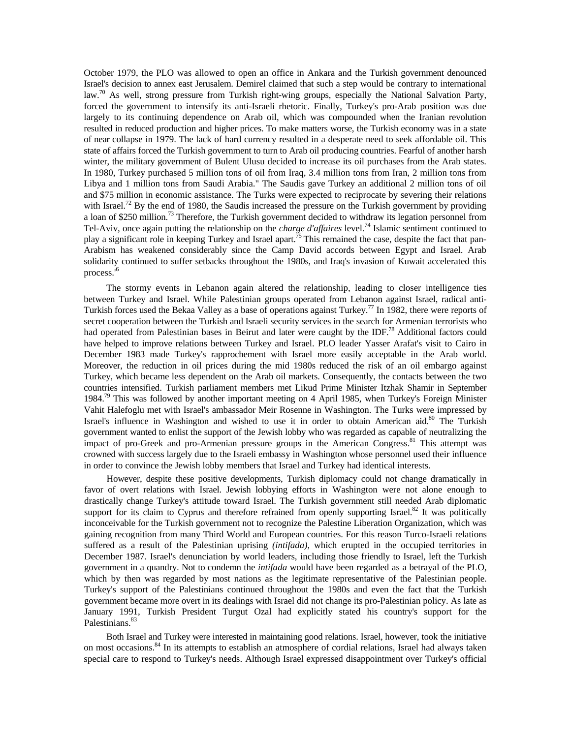October 1979, the PLO was allowed to open an office in Ankara and the Turkish government denounced Israel's decision to annex east Jerusalem. Demirel claimed that such a step would be contrary to international law.<sup>70</sup> As well, strong pressure from Turkish right-wing groups, especially the National Salvation Party, forced the government to intensify its anti-Israeli rhetoric. Finally, Turkey's pro-Arab position was due largely to its continuing dependence on Arab oil, which was compounded when the Iranian revolution resulted in reduced production and higher prices. To make matters worse, the Turkish economy was in a state of near collapse in 1979. The lack of hard currency resulted in a desperate need to seek affordable oil. This state of affairs forced the Turkish government to turn to Arab oil producing countries. Fearful of another harsh winter, the military government of Bulent Ulusu decided to increase its oil purchases from the Arab states. In 1980, Turkey purchased 5 million tons of oil from Iraq, 3.4 million tons from Iran, 2 million tons from Libya and 1 million tons from Saudi Arabia." The Saudis gave Turkey an additional 2 million tons of oil and \$75 million in economic assistance. The Turks were expected to reciprocate by severing their relations with Israel.<sup>72</sup> By the end of 1980, the Saudis increased the pressure on the Turkish government by providing a loan of \$250 million.<sup>73</sup> Therefore, the Turkish government decided to withdraw its legation personnel from Tel-Aviv, once again putting the relationship on the *charge d'affaires* level.74 Islamic sentiment continued to play a significant role in keeping Turkey and Israel apart.<sup>75</sup> This remained the case, despite the fact that pan-Arabism has weakened considerably since the Camp David accords between Egypt and Israel. Arab solidarity continued to suffer setbacks throughout the 1980s, and Iraq's invasion of Kuwait accelerated this process.'<sup>6</sup>

The stormy events in Lebanon again altered the relationship, leading to closer intelligence ties between Turkey and Israel. While Palestinian groups operated from Lebanon against Israel, radical anti-Turkish forces used the Bekaa Valley as a base of operations against Turkey.<sup>77</sup> In 1982, there were reports of secret cooperation between the Turkish and Israeli security services in the search for Armenian terrorists who had operated from Palestinian bases in Beirut and later were caught by the IDF.<sup>78</sup> Additional factors could have helped to improve relations between Turkey and Israel. PLO leader Yasser Arafat's visit to Cairo in December 1983 made Turkey's rapprochement with Israel more easily acceptable in the Arab world. Moreover, the reduction in oil prices during the mid 1980s reduced the risk of an oil embargo against Turkey, which became less dependent on the Arab oil markets. Consequently, the contacts between the two countries intensified. Turkish parliament members met Likud Prime Minister Itzhak Shamir in September 1984.<sup>79</sup> This was followed by another important meeting on 4 April 1985, when Turkey's Foreign Minister Vahit Halefoglu met with Israel's ambassador Meir Rosenne in Washington. The Turks were impressed by Israel's influence in Washington and wished to use it in order to obtain American aid.<sup>80</sup> The Turkish government wanted to enlist the support of the Jewish lobby who was regarded as capable of neutralizing the impact of pro-Greek and pro-Armenian pressure groups in the American Congress.<sup>81</sup> This attempt was crowned with success largely due to the Israeli embassy in Washington whose personnel used their influence in order to convince the Jewish lobby members that Israel and Turkey had identical interests.

However, despite these positive developments, Turkish diplomacy could not change dramatically in favor of overt relations with Israel. Jewish lobbying efforts in Washington were not alone enough to drastically change Turkey's attitude toward Israel. The Turkish government still needed Arab diplomatic support for its claim to Cyprus and therefore refrained from openly supporting Israel.<sup>82</sup> It was politically inconceivable for the Turkish government not to recognize the Palestine Liberation Organization, which was gaining recognition from many Third World and European countries. For this reason Turco-Israeli relations suffered as a result of the Palestinian uprising *(intifada),* which erupted in the occupied territories in December 1987. Israel's denunciation by world leaders, including those friendly to Israel, left the Turkish government in a quandry. Not to condemn the *intifada* would have been regarded as a betrayal of the PLO, which by then was regarded by most nations as the legitimate representative of the Palestinian people. Turkey's support of the Palestinians continued throughout the 1980s and even the fact that the Turkish government became more overt in its dealings with Israel did not change its pro-Palestinian policy. As late as January 1991, Turkish President Turgut Ozal had explicitly stated his country's support for the Palestinians.<sup>83</sup>

Both Israel and Turkey were interested in maintaining good relations. Israel, however, took the initiative on most occasions.84 In its attempts to establish an atmosphere of cordial relations, Israel had always taken special care to respond to Turkey's needs. Although Israel expressed disappointment over Turkey's official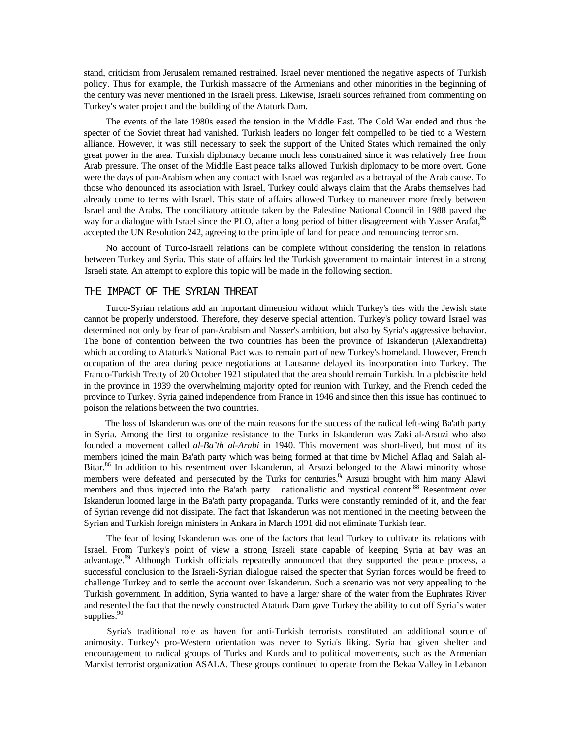stand, criticism from Jerusalem remained restrained. Israel never mentioned the negative aspects of Turkish policy. Thus for example, the Turkish massacre of the Armenians and other minorities in the beginning of the century was never mentioned in the Israeli press. Likewise, Israeli sources refrained from commenting on Turkey's water project and the building of the Ataturk Dam.

The events of the late 1980s eased the tension in the Middle East. The Cold War ended and thus the specter of the Soviet threat had vanished. Turkish leaders no longer felt compelled to be tied to a Western alliance. However, it was still necessary to seek the support of the United States which remained the only great power in the area. Turkish diplomacy became much less constrained since it was relatively free from Arab pressure. The onset of the Middle East peace talks allowed Turkish diplomacy to be more overt. Gone were the days of pan-Arabism when any contact with Israel was regarded as a betrayal of the Arab cause. To those who denounced its association with Israel, Turkey could always claim that the Arabs themselves had already come to terms with Israel. This state of affairs allowed Turkey to maneuver more freely between Israel and the Arabs. The conciliatory attitude taken by the Palestine National Council in 1988 paved the way for a dialogue with Israel since the PLO, after a long period of bitter disagreement with Yasser Arafat,<sup>85</sup> accepted the UN Resolution 242, agreeing to the principle of land for peace and renouncing terrorism.

No account of Turco-Israeli relations can be complete without considering the tension in relations between Turkey and Syria. This state of affairs led the Turkish government to maintain interest in a strong Israeli state. An attempt to explore this topic will be made in the following section.

## THE IMPACT OF THE SYRIAN THREAT

Turco-Syrian relations add an important dimension without which Turkey's ties with the Jewish state cannot be properly understood. Therefore, they deserve special attention. Turkey's policy toward Israel was determined not only by fear of pan-Arabism and Nasser's ambition, but also by Syria's aggressive behavior. The bone of contention between the two countries has been the province of Iskanderun (Alexandretta) which according to Ataturk's National Pact was to remain part of new Turkey's homeland. However, French occupation of the area during peace negotiations at Lausanne delayed its incorporation into Turkey. The Franco-Turkish Treaty of 20 October 1921 stipulated that the area should remain Turkish. In a plebiscite held in the province in 1939 the overwhelming majority opted for reunion with Turkey, and the French ceded the province to Turkey. Syria gained independence from France in 1946 and since then this issue has continued to poison the relations between the two countries.

The loss of Iskanderun was one of the main reasons for the success of the radical left-wing Ba'ath party in Syria. Among the first to organize resistance to the Turks in Iskanderun was Zaki al-Arsuzi who also founded a movement called *al-Ba'th al-Arabi* in 1940. This movement was short-lived, but most of its members joined the main Ba'ath party which was being formed at that time by Michel Aflaq and Salah al-Bitar.<sup>86</sup> In addition to his resentment over Iskanderun, al Arsuzi belonged to the Alawi minority whose members were defeated and persecuted by the Turks for centuries.<sup>8</sup> Arsuzi brought with him many Alawi members and thus injected into the Ba'ath party nationalistic and mystical content.<sup>88</sup> Resentment over Iskanderun loomed large in the Ba'ath party propaganda. Turks were constantly reminded of it, and the fear of Syrian revenge did not dissipate. The fact that Iskanderun was not mentioned in the meeting between the Syrian and Turkish foreign ministers in Ankara in March 1991 did not eliminate Turkish fear.

The fear of losing Iskanderun was one of the factors that lead Turkey to cultivate its relations with Israel. From Turkey's point of view a strong Israeli state capable of keeping Syria at bay was an advantage.<sup>89</sup> Although Turkish officials repeatedly announced that they supported the peace process, a successful conclusion to the Israeli-Syrian dialogue raised the specter that Syrian forces would be freed to challenge Turkey and to settle the account over Iskanderun. Such a scenario was not very appealing to the Turkish government. In addition, Syria wanted to have a larger share of the water from the Euphrates River and resented the fact that the newly constructed Ataturk Dam gave Turkey the ability to cut off Syria's water supplies.<sup>90</sup>

Syria's traditional role as haven for anti-Turkish terrorists constituted an additional source of animosity. Turkey's pro-Western orientation was never to Syria's liking. Syria had given shelter and encouragement to radical groups of Turks and Kurds and to political movements, such as the Armenian Marxist terrorist organization ASALA. These groups continued to operate from the Bekaa Valley in Lebanon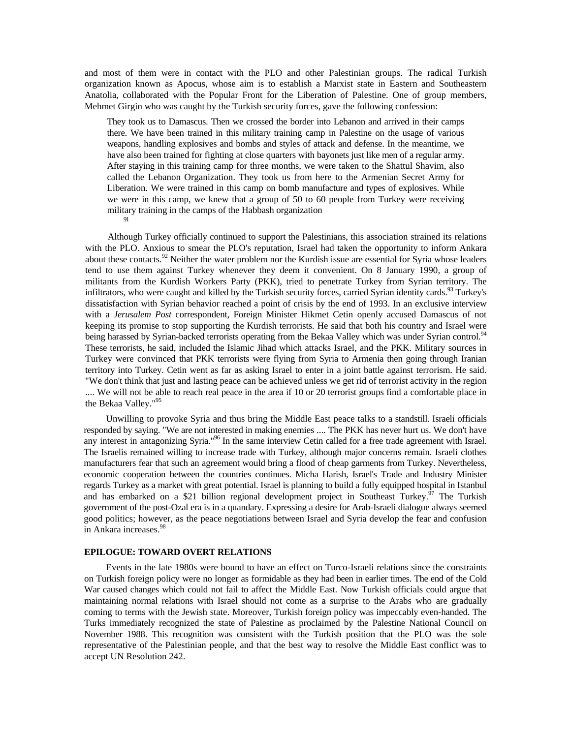and most of them were in contact with the PLO and other Palestinian groups. The radical Turkish organization known as Apocus, whose aim is to establish a Marxist state in Eastern and Southeastern Anatolia, collaborated with the Popular Front for the Liberation of Palestine. One of group members, Mehmet Girgin who was caught by the Turkish security forces, gave the following confession:

They took us to Damascus. Then we crossed the border into Lebanon and arrived in their camps there. We have been trained in this military training camp in Palestine on the usage of various weapons, handling explosives and bombs and styles of attack and defense. In the meantime, we have also been trained for fighting at close quarters with bayonets just like men of a regular army. After staying in this training camp for three months, we were taken to the Shattul Shavim, also called the Lebanon Organization. They took us from here to the Armenian Secret Army for Liberation. We were trained in this camp on bomb manufacture and types of explosives. While we were in this camp, we knew that a group of 50 to 60 people from Turkey were receiving military training in the camps of the Habbash organization **91** 

Although Turkey officially continued to support the Palestinians, this association strained its relations with the PLO. Anxious to smear the PLO's reputation, Israel had taken the opportunity to inform Ankara about these contacts.<sup>92</sup> Neither the water problem nor the Kurdish issue are essential for Syria whose leaders tend to use them against Turkey whenever they deem it convenient. On 8 January 1990, a group of militants from the Kurdish Workers Party (PKK), tried to penetrate Turkey from Syrian territory. The infiltrators, who were caught and killed by the Turkish security forces, carried Syrian identity cards.<sup>93</sup> Turkey's dissatisfaction with Syrian behavior reached a point of crisis by the end of 1993. In an exclusive interview with a *Jerusalem Post* correspondent, Foreign Minister Hikmet Cetin openly accused Damascus of not keeping its promise to stop supporting the Kurdish terrorists. He said that both his country and Israel were being harassed by Syrian-backed terrorists operating from the Bekaa Valley which was under Syrian control.<sup>94</sup> These terrorists, he said, included the Islamic Jihad which attacks Israel, and the PKK. Military sources in Turkey were convinced that PKK terrorists were flying from Syria to Armenia then going through Iranian territory into Turkey. Cetin went as far as asking Israel to enter in a joint battle against terrorism. He said. "We don't think that just and lasting peace can be achieved unless we get rid of terrorist activity in the region .... We will not be able to reach real peace in the area if 10 or 20 terrorist groups find a comfortable place in the Bekaa Valley."<sup>95</sup>

Unwilling to provoke Syria and thus bring the Middle East peace talks to a standstill. Israeli officials responded by saying. "We are not interested in making enemies .... The PKK has never hurt us. We don't have any interest in antagonizing Syria."<sup>96</sup> In the same interview Cetin called for a free trade agreement with Israel. The Israelis remained willing to increase trade with Turkey, although major concerns remain. Israeli clothes manufacturers fear that such an agreement would bring a flood of cheap garments from Turkey. Nevertheless, economic cooperation between the countries continues. Micha Harish, Israel's Trade and Industry Minister regards Turkey as a market with great potential. Israel is planning to build a fully equipped hospital in Istanbul and has embarked on a \$21 billion regional development project in Southeast Turkey.<sup>97</sup> The Turkish government of the post-Ozal era is in a quandary. Expressing a desire for Arab-Israeli dialogue always seemed good politics; however, as the peace negotiations between Israel and Syria develop the fear and confusion in Ankara increases.98

## **EPILOGUE: TOWARD OVERT RELATIONS**

Events in the late 1980s were bound to have an effect on Turco-Israeli relations since the constraints on Turkish foreign policy were no longer as formidable as they had been in earlier times. The end of the Cold War caused changes which could not fail to affect the Middle East. Now Turkish officials could argue that maintaining normal relations with Israel should not come as a surprise to the Arabs who are gradually coming to terms with the Jewish state. Moreover, Turkish foreign policy was impeccably even-handed. The Turks immediately recognized the state of Palestine as proclaimed by the Palestine National Council on November 1988. This recognition was consistent with the Turkish position that the PLO was the sole representative of the Palestinian people, and that the best way to resolve the Middle East conflict was to accept UN Resolution 242.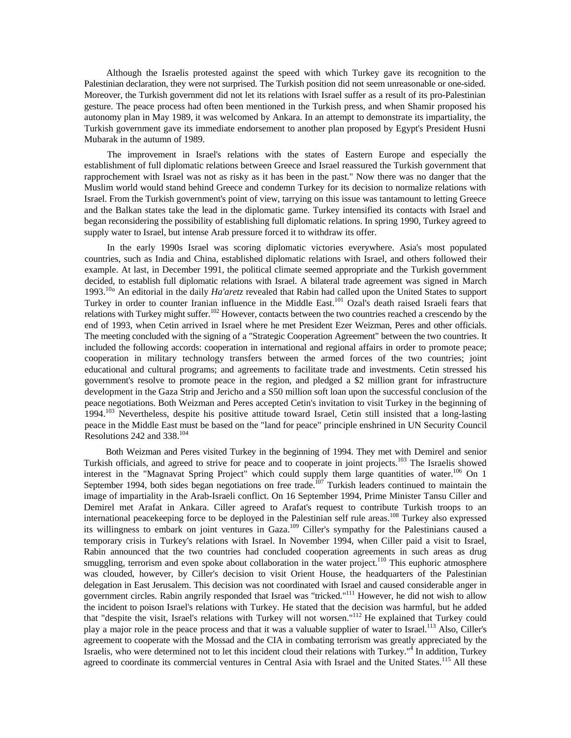Although the Israelis protested against the speed with which Turkey gave its recognition to the Palestinian declaration, they were not surprised. The Turkish position did not seem unreasonable or one-sided. Moreover, the Turkish government did not let its relations with Israel suffer as a result of its pro-Palestinian gesture. The peace process had often been mentioned in the Turkish press, and when Shamir proposed his autonomy plan in May 1989, it was welcomed by Ankara. In an attempt to demonstrate its impartiality, the Turkish government gave its immediate endorsement to another plan proposed by Egypt's President Husni Mubarak in the autumn of 1989.

The improvement in Israel's relations with the states of Eastern Europe and especially the establishment of full diplomatic relations between Greece and Israel reassured the Turkish government that rapprochement with Israel was not as risky as it has been in the past." Now there was no danger that the Muslim world would stand behind Greece and condemn Turkey for its decision to normalize relations with Israel. From the Turkish government's point of view, tarrying on this issue was tantamount to letting Greece and the Balkan states take the lead in the diplomatic game. Turkey intensified its contacts with Israel and began reconsidering the possibility of establishing full diplomatic relations. In spring 1990, Turkey agreed to supply water to Israel, but intense Arab pressure forced it to withdraw its offer.

In the early 1990s Israel was scoring diplomatic victories everywhere. Asia's most populated countries, such as India and China, established diplomatic relations with Israel, and others followed their example. At last, in December 1991, the political climate seemed appropriate and the Turkish government decided, to establish full diplomatic relations with Israel. A bilateral trade agreement was signed in March 1993.10° An editorial in the daily *Ha'aretz* revealed that Rabin had called upon the United States to support Turkey in order to counter Iranian influence in the Middle East.<sup>101</sup> Ozal's death raised Israeli fears that relations with Turkey might suffer.<sup>102</sup> However, contacts between the two countries reached a crescendo by the end of 1993, when Cetin arrived in Israel where he met President Ezer Weizman, Peres and other officials. The meeting concluded with the signing of a "Strategic Cooperation Agreement" between the two countries. It included the following accords: cooperation in international and regional affairs in order to promote peace; cooperation in military technology transfers between the armed forces of the two countries; joint educational and cultural programs; and agreements to facilitate trade and investments. Cetin stressed his government's resolve to promote peace in the region, and pledged a \$2 million grant for infrastructure development in the Gaza Strip and Jericho and a S50 million soft loan upon the successful conclusion of the peace negotiations. Both Weizman and Peres accepted Cetin's invitation to visit Turkey in the beginning of 1994.103 Nevertheless, despite his positive attitude toward Israel, Cetin still insisted that a long-lasting peace in the Middle East must be based on the "land for peace" principle enshrined in UN Security Council Resolutions 242 and 338.104

Both Weizman and Peres visited Turkey in the beginning of 1994. They met with Demirel and senior Turkish officials, and agreed to strive for peace and to cooperate in joint projects.<sup>103</sup> The Israelis showed interest in the "Magnavat Spring Project" which could supply them large quantities of water.<sup>106</sup> On 1 September 1994, both sides began negotiations on free trade.<sup>107</sup> Turkish leaders continued to maintain the image of impartiality in the Arab-Israeli conflict. On 16 September 1994, Prime Minister Tansu Ciller and Demirel met Arafat in Ankara. Ciller agreed to Arafat's request to contribute Turkish troops to an international peacekeeping force to be deployed in the Palestinian self rule areas.<sup>108</sup> Turkey also expressed its willingness to embark on joint ventures in Gaza.<sup>109</sup> Ciller's sympathy for the Palestinians caused a temporary crisis in Turkey's relations with Israel. In November 1994, when Ciller paid a visit to Israel, Rabin announced that the two countries had concluded cooperation agreements in such areas as drug smuggling, terrorism and even spoke about collaboration in the water project.<sup>110</sup> This euphoric atmosphere was clouded, however, by Ciller's decision to visit Orient House, the headquarters of the Palestinian delegation in East Jerusalem. This decision was not coordinated with Israel and caused considerable anger in government circles. Rabin angrily responded that Israel was "tricked."111 However, he did not wish to allow the incident to poison Israel's relations with Turkey. He stated that the decision was harmful, but he added that "despite the visit, Israel's relations with Turkey will not worsen."112 He explained that Turkey could play a major role in the peace process and that it was a valuable supplier of water to Israel.<sup>113</sup> Also, Ciller's agreement to cooperate with the Mossad and the CIA in combating terrorism was greatly appreciated by the Israelis, who were determined not to let this incident cloud their relations with Turkey."<sup>4</sup> In addition, Turkey agreed to coordinate its commercial ventures in Central Asia with Israel and the United States.<sup>115</sup> All these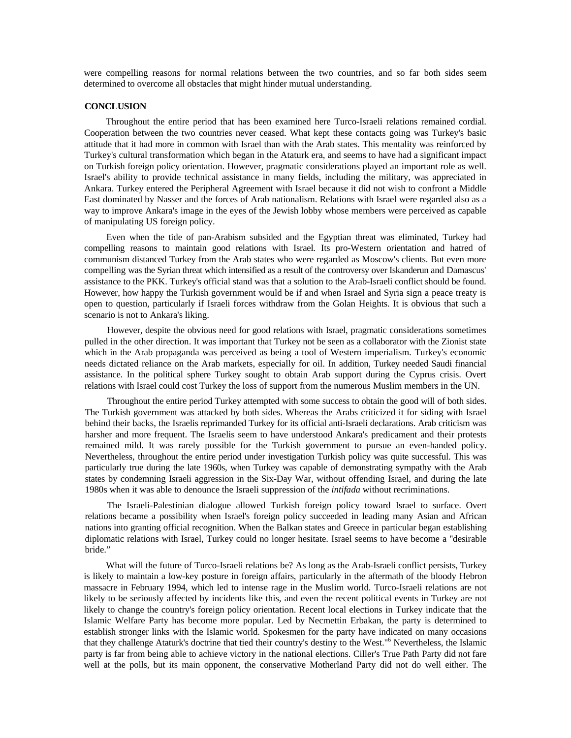were compelling reasons for normal relations between the two countries, and so far both sides seem determined to overcome all obstacles that might hinder mutual understanding.

#### **CONCLUSION**

Throughout the entire period that has been examined here Turco-Israeli relations remained cordial. Cooperation between the two countries never ceased. What kept these contacts going was Turkey's basic attitude that it had more in common with Israel than with the Arab states. This mentality was reinforced by Turkey's cultural transformation which began in the Ataturk era, and seems to have had a significant impact on Turkish foreign policy orientation. However, pragmatic considerations played an important role as well. Israel's ability to provide technical assistance in many fields, including the military, was appreciated in Ankara. Turkey entered the Peripheral Agreement with Israel because it did not wish to confront a Middle East dominated by Nasser and the forces of Arab nationalism. Relations with Israel were regarded also as a way to improve Ankara's image in the eyes of the Jewish lobby whose members were perceived as capable of manipulating US foreign policy.

Even when the tide of pan-Arabism subsided and the Egyptian threat was eliminated, Turkey had compelling reasons to maintain good relations with Israel. Its pro-Western orientation and hatred of communism distanced Turkey from the Arab states who were regarded as Moscow's clients. But even more compelling was the Syrian threat which intensified as a result of the controversy over Iskanderun and Damascus' assistance to the PKK. Turkey's official stand was that a solution to the Arab-Israeli conflict should be found. However, how happy the Turkish government would be if and when Israel and Syria sign a peace treaty is open to question, particularly if Israeli forces withdraw from the Golan Heights. It is obvious that such a scenario is not to Ankara's liking.

However, despite the obvious need for good relations with Israel, pragmatic considerations sometimes pulled in the other direction. It was important that Turkey not be seen as a collaborator with the Zionist state which in the Arab propaganda was perceived as being a tool of Western imperialism. Turkey's economic needs dictated reliance on the Arab markets, especially for oil. In addition, Turkey needed Saudi financial assistance. In the political sphere Turkey sought to obtain Arab support during the Cyprus crisis. Overt relations with Israel could cost Turkey the loss of support from the numerous Muslim members in the UN.

Throughout the entire period Turkey attempted with some success to obtain the good will of both sides. The Turkish government was attacked by both sides. Whereas the Arabs criticized it for siding with Israel behind their backs, the Israelis reprimanded Turkey for its official anti-Israeli declarations. Arab criticism was harsher and more frequent. The Israelis seem to have understood Ankara's predicament and their protests remained mild. It was rarely possible for the Turkish government to pursue an even-handed policy. Nevertheless, throughout the entire period under investigation Turkish policy was quite successful. This was particularly true during the late 1960s, when Turkey was capable of demonstrating sympathy with the Arab states by condemning Israeli aggression in the Six-Day War, without offending Israel, and during the late 1980s when it was able to denounce the Israeli suppression of the *intifada* without recriminations.

The Israeli-Palestinian dialogue allowed Turkish foreign policy toward Israel to surface. Overt relations became a possibility when Israel's foreign policy succeeded in leading many Asian and African nations into granting official recognition. When the Balkan states and Greece in particular began establishing diplomatic relations with Israel, Turkey could no longer hesitate. Israel seems to have become a ''desirable bride."

What will the future of Turco-Israeli relations be? As long as the Arab-Israeli conflict persists, Turkey is likely to maintain a low-key posture in foreign affairs, particularly in the aftermath of the bloody Hebron massacre in February 1994, which led to intense rage in the Muslim world. Turco-Israeli relations are not likely to be seriously affected by incidents like this, and even the recent political events in Turkey are not likely to change the country's foreign policy orientation. Recent local elections in Turkey indicate that the Islamic Welfare Party has become more popular. Led by Necmettin Erbakan, the party is determined to establish stronger links with the Islamic world. Spokesmen for the party have indicated on many occasions that they challenge Ataturk's doctrine that tied their country's destiny to the West."6 Nevertheless, the Islamic party is far from being able to achieve victory in the national elections. Ciller's True Path Party did not fare well at the polls, but its main opponent, the conservative Motherland Party did not do well either. The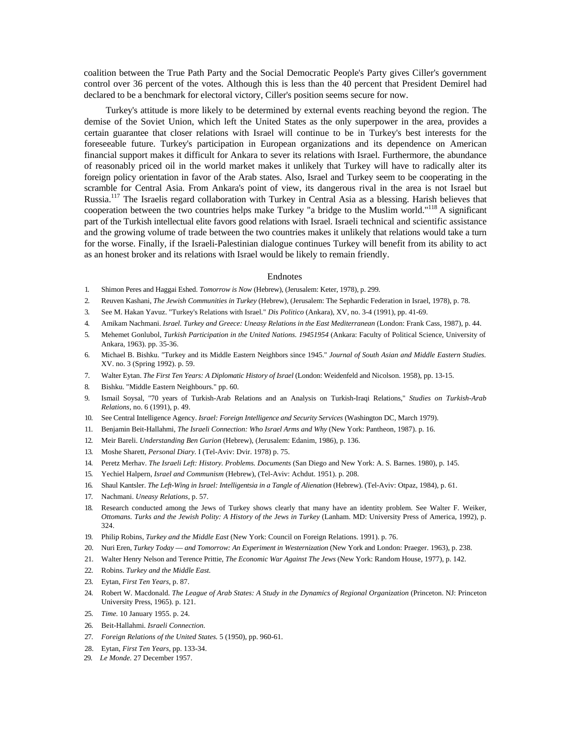coalition between the True Path Party and the Social Democratic People's Party gives Ciller's government control over 36 percent of the votes. Although this is less than the 40 percent that President Demirel had declared to be a benchmark for electoral victory, Ciller's position seems secure for now.

Turkey's attitude is more likely to be determined by external events reaching beyond the region. The demise of the Soviet Union, which left the United States as the only superpower in the area, provides a certain guarantee that closer relations with Israel will continue to be in Turkey's best interests for the foreseeable future. Turkey's participation in European organizations and its dependence on American financial support makes it difficult for Ankara to sever its relations with Israel. Furthermore, the abundance of reasonably priced oil in the world market makes it unlikely that Turkey will have to radically alter its foreign policy orientation in favor of the Arab states. Also, Israel and Turkey seem to be cooperating in the scramble for Central Asia. From Ankara's point of view, its dangerous rival in the area is not Israel but Russia.117 The Israelis regard collaboration with Turkey in Central Asia as a blessing. Harish believes that cooperation between the two countries helps make Turkey "a bridge to the Muslim world."118 A significant part of the Turkish intellectual elite favors good relations with Israel. Israeli technical and scientific assistance and the growing volume of trade between the two countries makes it unlikely that relations would take a turn for the worse. Finally, if the Israeli-Palestinian dialogue continues Turkey will benefit from its ability to act as an honest broker and its relations with Israel would be likely to remain friendly.

#### Endnotes

- 1. Shimon Peres and Haggai Eshed. *Tomorrow is Now* (Hebrew), (Jerusalem: Keter, 1978), p. 299.
- 2. Reuven Kashani, *The Jewish Communities in Turkey* (Hebrew), (Jerusalem: The Sephardic Federation in Israel, 1978), p. 78.
- 3. See M. Hakan Yavuz. "Turkey's Relations with Israel." *Dis Politico* (Ankara), XV, no. 3-4 (1991), pp. 41-69.
- 4. Amikam Nachmani. *Israel. Turkey and Greece: Uneasy Relations in the East Mediterranean* (London: Frank Cass, 1987), p. 44.
- 5. Mehemet Gonlubol, *Turkish Participation in the United Nations. 19451954* (Ankara: Faculty of Political Science, University of Ankara, 1963). pp. 35-36.
- 6. Michael B. Bishku. "Turkey and its Middle Eastern Neighbors since 1945." *Journal of South Asian and Middle Eastern Studies.*  XV. no. 3 (Spring 1992). p. 59.
- 7. Walter Eytan. *The First Ten Years: A Diplomatic History of Israel* (London: Weidenfeld and Nicolson. 1958), pp. 13-15.
- 8. Bishku. "Middle Eastern Neighbours." pp. 60.
- 9. Ismail Soysal, "70 years of Turkish-Arab Relations and an Analysis on Turkish-Iraqi Relations," *Studies on Turkish-Arab Relations,* no. 6 (1991), p. 49.
- 10. See Central Intelligence Agency. *Israel: Foreign Intelligence and Security Services* (Washington DC, March 1979).
- 11. Benjamin Beit-Hallahmi, *The Israeli Connection: Who Israel Arms and Why* (New York: Pantheon, 1987). p. 16.
- 12. Meir Bareli. *Understanding Ben Gurion* (Hebrew), (Jerusalem: Edanim, 1986), p. 136.
- 13. Moshe Sharett, *Personal Diary.* I (Tel-Aviv: Dvir. 1978) p. 75.
- 14. Peretz Merhav. *The Israeli Left: History. Problems. Documents* (San Diego and New York: A. S. Barnes. 1980), p. 145.
- 15. Yechiel Halpern, *Israel and Communism* (Hebrew), (Tel-Aviv: Achdut. 1951). p. 208.
- 16. Shaul Kantsler. *The Left-Wing in Israel: Intelligentsia in a Tangle of Alienation* (Hebrew). (Tel-Aviv: Otpaz, 1984), p. 61.
- 17. Nachmani. *Uneasy Relations,* p. 57.
- 18. Research conducted among the Jews of Turkey shows clearly that many have an identity problem. See Walter F. Weiker, *Ottomans. Turks and the Jewish Polity: A History of the Jews in Turkey* (Lanham. MD: University Press of America, 1992), p. 324.
- 19. Philip Robins, *Turkey and the Middle East* (New York: Council on Foreign Relations. 1991). p. 76.
- 20. Nuri Eren, *Turkey Today and Tomorrow: An Experiment in Westernization* (New York and London: Praeger. 1963), p. 238.
- 21. Walter Henry Nelson and Terence Prittie, *The Economic War Against The Jews* (New York: Random House, 1977), p. 142.
- 22. Robins. *Turkey and the Middle East.*
- 23. Eytan, *First Ten Years,* p. 87.
- 24. Robert W. Macdonald. *The League of Arab States: A Study in the Dynamics of Regional Organization* (Princeton. NJ: Princeton University Press, 1965). p. 121.
- 25. *Time.* 10 January 1955. p. 24.
- 26. Beit-Hallahmi. *Israeli Connection.*
- 27. *Foreign Relations of the United States.* 5 (1950), pp. 960-61.
- 28. Eytan, *First Ten Years,* pp. 133-34.
- 29. *Le Monde.* 27 December 1957.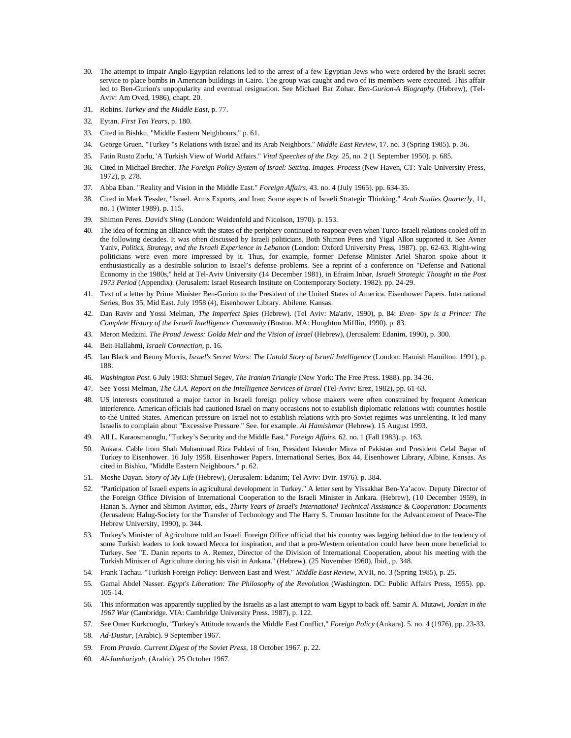- 30. The attempt to impair Anglo-Egyptian relations led to the arrest of a few Egyptian Jews who were ordered by the Israeli secret service to place bombs in American buildings in Cairo. The group was caught and two of its members were executed. This affair led to Ben-Gurion's unpopularity and eventual resignation. See Michael Bar Zohar. *Ben-Gurion-A Biography* (Hebrew), (Tel-Aviv: Am Oved, 1986), chapt. 20.
- 31. Robins. *Turkey and the Middle East,* p. 77.
- 32. Eytan. *First Ten Years,* p. 180.
- 33. Cited in Bishku, "Middle Eastern Neighbours," p. 61.
- 34. George Gruen. "Turkey "s Relations with Israel and its Arab Neighbors." *Middle East Review,* 17. no. 3 (Spring 1985). p. 36.
- 35. Fatin Rustu Zorlu, 'A Turkish View of World Affairs." *Vital Speeches of the Day.* 25, no. 2 (1 September 1950). p. 685.
- 36. Cited in Michael Brecher, *The Foreign Policy System of Israel: Setting. Images. Process* (New Haven, CT: Yale University Press, 1972), p. 278.
- 37. Abba Eban. "Reality and Vision in the Middle East." *Foreign Affairs,* 43. no. 4 (July 1965). pp. 634-35.
- 38. Cited in Mark Tessler, "Israel. Arms Exports, and Iran: Some aspects of Israeli Strategic Thinking." *Arab Studies Quarterly,* 11, no. 1 (Winter 1989). p. 115.
- 39. Shimon Peres. *David's Sling* (London: Weidenfeld and Nicolson, 1970). p. 153.
- 40. The idea of forming an alliance with the states of the periphery continued to reappear even when Turco-Israeli relations cooled off in the following decades. It was often discussed by Israeli politicians. Both Shimon Peres and Yigal Allon supported it. See Avner Yaniv, *Politics, Strategy, and the Israeli Experience in Lebanon* (London: Oxford University Press, 1987). pp. 62-63. Right-wing politicians were even more impressed by it. Thus, for example, former Defense Minister Ariel Sharon spoke about it enthusiastically as a desirable solution to Israel's defense problems. See a reprint of a conference on "Defense and National Economy in the 1980s," held at Tel-Aviv University (14 December 1981), in Efraim Inbar, *Israeli Strategic Thought in the Post 1973 Period* (Appendix). (Jerusalem: Israel Research Institute on Contemporary Society. 1982). pp. 24-29.
- 41. Text of a letter by Prime Minister Ben-Gurion to the President of the United States of America. Eisenhower Papers. International Series, Box 35, Mid East. July 1958 (4), Eisenhower Library. Abilene. Kansas.
- 42. Dan Raviv and Yossi Melman, *The Imperfect Spies* (Hebrew). (Tel Aviv: Ma'ariv, 1990), p. 84: *Even- Spy is a Prince: The Complete History of the Israeli Intelligence Community* (Boston. MA: Houghton Mifflin, 1990). p. 83.
- 43. Meron Medzini. *The Proud Jewess: Golda Meir and the Vision of Israel* (Hebrew), (Jerusalem: Edanim, 1990), p. 300.
- 44. Beit-Hallahmi, *Israeli Connection,* p. 16.
- 45. Ian Black and Benny Morris, *Israel's Secret Wars: The Untold Story of Israeli Intelligence* (London: Hamish Hamilton. 1991), p. 188.
- 46. *Washington Post.* 6 July 1983: Shmuel Segev, *The Iranian Triangle* (New York: The Free Press. 1988). pp. 34-36.
- 47. See Yossi Melman, *The CI.A. Report on the Intelligence Services of Israel* (Tel-Aviv: Erez, 1982), pp. 61-63.
- 48. US interests constituted a major factor in Israeli foreign policy whose makers were often constrained by frequent American interference. American officials had cautioned Israel on many occasions not to establish diplomatic relations with countries hostile to the United States. American pressure on Israel not to establish relations with pro-Soviet regimes was unrelenting. It led many Israelis to complain about "Excessive Pressure." See. for example. *Al Hamishmar* (Hebrew). 15 August 1993.
- 49. All L. Karaosmanoglu, "Turkey's Security and the Middle East." *Foreign Affairs.* 62. no. 1 (Fall 1983). p. 163.
- 50. Ankara. Cable from Shah Muhammad Riza Pahlavi of Iran, President Iskender Mirza of Pakistan and President Celal Bayar of Turkey to Eisenhower. 16 July 1958. Eisenhower Papers. International Series, Box 44, Eisenhower Library, Albine, Kansas. As cited in Bishku, "Middle Eastern Neighbours." p. 62.
- 51. Moshe Dayan. *Story of My Life* (Hebrew), (Jerusalem: Edanim; Tel Aviv: Dvir. 1976). p. 384.
- 52. "Participation of Israeli experts in agricultural development in Turkey." A letter sent by Yissakhar Ben-Ya'acov. Deputy Director of the Foreign Office Division of International Cooperation to the Israeli Minister in Ankara. (Hebrew), (10 December 1959), in Hanan S. Aynor and Shimon Avimor, eds., *Thirty Years of Israel's International Technical Assistance & Cooperation: Documents*  (Jerusalem: Halug-Society for the Transfer of Technology and The Harry S. Truman Institute for the Advancement of Peace-The Hebrew University, 1990), p. 344.
- 53. Turkey's Minister of Agriculture told an Israeli Foreign Office official that his country was lagging behind due to the tendency of some Turkish leaders to look toward Mecca for inspiration, and that a pro-Western orientation could have been more beneficial to Turkey. See "E. Danin reports to A. Remez, Director of the Division of International Cooperation, about his meeting with the Turkish Minister of Agriculture during his visit in Ankara." (Hebrew). (25 November 1960), Ibid., p. 348.
- 54. Frank Tachau. "Turkish Foreign Policy: Between East and West." *Middle East Review,* XVII, no. 3 (Spring 1985), p. 25.
- 55. Gamal Abdel Nasser. *Egypt's Liberation: The Philosophy of the Revolution* (Washington. DC: Public Affairs Press, 1955). pp. 105-14.
- 56. This information was apparently supplied by the Israelis as a last attempt to warn Egypt to back off. Samir A. Mutawi, *Jordan in the 1967 War* (Cambridge. VIA: Cambridge University Press. 1987), p. 122.
- 57. See Omer Kurkcuoglu, "Turkey's Attitude towards the Middle East Conflict," *Foreign Policy* (Ankara). 5. no. 4 (1976), pp. 23-33.
- 58. *Ad-Dustur,* (Arabic). 9 September 1967.
- 59. From *Pravda. Current Digest of the Soviet Press,* 18 October 1967. p. 22.
- 60. *Al-Jumhuriyah,* (Arabic). 25 October 1967.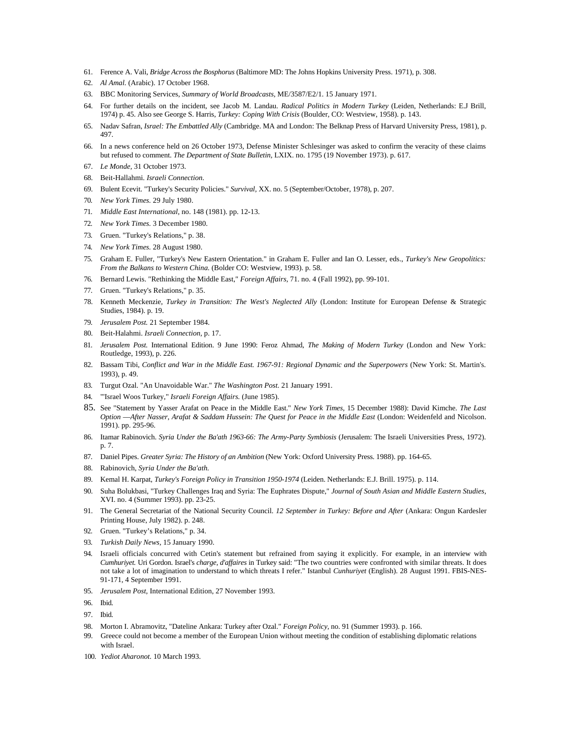- 61. Ference A. Vali, *Bridge Across the Bosphorus* (Baltimore MD: The Johns Hopkins University Press. 1971), p. 308.
- 62. *Al Amal.* (Arabic). 17 October 1968.
- 63. BBC Monitoring Services, *Summary of World Broadcasts,* ME/3587/E2/1. 15 January 1971.
- 64. For further details on the incident, see Jacob M. Landau. *Radical Politics in Modern Turkey* (Leiden, Netherlands: E.J Brill, 1974) p. 45. Also see George S. Harris, *Turkey: Coping With Crisis* (Boulder, CO: Westview, 1958). p. 143.
- 65. Nadav Safran, *Israel: The Embattled Ally* (Cambridge. MA and London: The Belknap Press of Harvard University Press, 1981), p. 497.
- 66. In a news conference held on 26 October 1973, Defense Minister Schlesinger was asked to confirm the veracity of these claims but refused to comment. *The Department of State Bulletin,* LXIX. no. 1795 (19 November 1973). p. 617.
- 67. *Le Monde,* 31 October 1973.
- 68. Beit-Hallahmi. *Israeli Connection.*
- 69. Bulent Ecevit. "Turkey's Security Policies." *Survival,* XX. no. 5 (September/October, 1978), p. 207.
- 70. *New York Times.* 29 July 1980.
- 71. *Middle East International,* no. 148 (1981). pp. 12-13.
- 72. *New York Times.* 3 December 1980.
- 73. Gruen. "Turkey's Relations," p. 38.
- 74. *New York Times.* 28 August 1980.
- 75. Graham E. Fuller, "Turkey's New Eastern Orientation." in Graham E. Fuller and Ian O. Lesser, eds., *Turkey's New Geopolitics: From the Balkans to Western China.* (Bolder CO: Westview, 1993). p. 58.
- 76. Bernard Lewis. "Rethinking the Middle East," *Foreign Affairs,* 71. no. 4 (Fall 1992), pp. 99-101.
- 77. Gruen. "Turkey's Relations," p. 35.
- 78. Kenneth Meckenzie, *Turkey in Transition: The West's Neglected Ally* (London: Institute for European Defense & Strategic Studies, 1984). p. 19.
- 79. *Jerusalem Post.* 21 September 1984.
- 80. Beit-Halahmi. *Israeli Connection,* p. 17.
- 81. *Jerusalem Post.* International Edition. 9 June 1990: Feroz Ahmad, *The Making of Modern Turkey* (London and New York: Routledge, 1993), p. 226.
- 82. Bassam Tibi, Conflict and War in the Middle East. 1967-91: Regional Dynamic and the Superpowers (New York: St. Martin's. 1993), p. 49.
- 83. Turgut Ozal. "An Unavoidable War." *The Washington Post.* 21 January 1991.
- 84. "'Israel Woos Turkey," *Israeli Foreign Affairs.* (June 1985).
- 85. See "Statement by Yasser Arafat on Peace in the Middle East." *New York Times,* 15 December 1988): David Kimche. *The Last Option* —*After Nasser, Arafat & Saddam Hussein: The Quest for Peace in the Middle East* (London: Weidenfeld and Nicolson. 1991). pp. 295-96.
- 86. Itamar Rabinovich. *Syria Under the Ba'ath 1963-66: The Army-Party Symbiosis* (Jerusalem: The Israeli Universities Press, 1972). p. 7.
- 87. Daniel Pipes. *Greater Syria: The History of an Ambition* (New York: Oxford University Press. 1988). pp. 164-65.
- 88. Rabinovich, *Syria Under the Ba'ath.*
- 89. Kemal H. Karpat, *Turkey's Foreign Policy in Transition 1950-1974* (Leiden. Netherlands: E.J. Brill. 1975). p. 114.
- 90. Suha Bolukbasi, "Turkey Challenges Iraq and Syria: The Euphrates Dispute," *Journal of South Asian and Middle Eastern Studies,*  XVI. no. 4 (Summer 1993). pp. 23-25.
- 91. The General Secretariat of the National Security Council. 12 September in Turkey: Before and After (Ankara: Ongun Kardesler Printing House, July 1982). p. 248.
- 92. Gruen. "Turkey's Relations," p. 34.
- 93. *Turkish Daily News,* 15 January 1990.
- 94. Israeli officials concurred with Cetin's statement but refrained from saying it explicitly. For example, in an interview with *Cumhuriyet.* Uri Gordon. Israel's *charge, d'affaires* in Turkey said: "The two countries were confronted with similar threats. It does not take a lot of imagination to understand to which threats I refer." Istanbul *Cunhuriyet* (English). 28 August 1991. FBIS-NES-91-171, 4 September 1991.
- 95. *Jerusalem Post,* International Edition, 27 November 1993.

- 97. Ibid.
- 98. Morton I. Abramovitz, "Dateline Ankara: Turkey after Ozal." *Foreign Policy,* no. 91 (Summer 1993). p. 166.
- 99. Greece could not become a member of the European Union without meeting the condition of establishing diplomatic relations with Israel.
- 100. *Yediot Aharonot.* 10 March 1993.

<sup>96.</sup> Ibid.